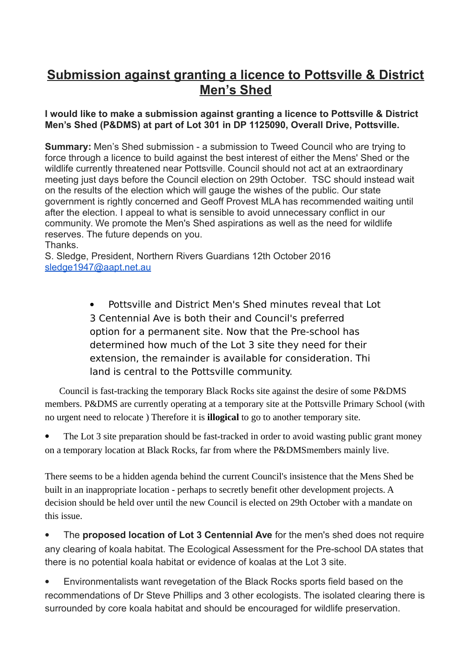## **Submission against granting a licence to Pottsville & District Men's Shed**

## **I would like to make a submission against granting a licence to Pottsville & District Men's Shed (P&DMS) at part of Lot 301 in DP 1125090, Overall Drive, Pottsville.**

**Summary:** Men's Shed submission - a submission to Tweed Council who are trying to force through a licence to build against the best interest of either the Mens' Shed or the wildlife currently threatened near Pottsville. Council should not act at an extraordinary meeting just days before the Council election on 29th October. TSC should instead wait on the results of the election which will gauge the wishes of the public. Our state government is rightly concerned and Geoff Provest MLA has recommended waiting until after the election. I appeal to what is sensible to avoid unnecessary conflict in our community. We promote the Men's Shed aspirations as well as the need for wildlife reserves. The future depends on you. Thanks.

S. Sledge, President, Northern Rivers Guardians 12th October 2016 [sledge1947@aapt.net.au](mailto:sledge1947@aapt.net.au)

> Pottsville and District Men's Shed minutes reveal that Lot 3 Centennial Ave is both their and Council's preferred option for a permanent site. Now that the Pre-school has determined how much of the Lot 3 site they need for their extension, the remainder is available for consideration. Thi land is central to the Pottsville community.

Council is fast-tracking the temporary Black Rocks site against the desire of some P&DMS members. P&DMS are currently operating at a temporary site at the Pottsville Primary School (with no urgent need to relocate ) Therefore it is **illogical** to go to another temporary site.

 The Lot 3 site preparation should be fast-tracked in order to avoid wasting public grant money on a temporary location at Black Rocks, far from where the P&DMSmembers mainly live.

There seems to be a hidden agenda behind the current Council's insistence that the Mens Shed be built in an inappropriate location - perhaps to secretly benefit other development projects. A decision should be held over until the new Council is elected on 29th October with a mandate on this issue.

 The **proposed location of Lot 3 Centennial Ave** for the men's shed does not require any clearing of koala habitat. The Ecological Assessment for the Pre-school DA states that there is no potential koala habitat or evidence of koalas at the Lot 3 site.

 Environmentalists want revegetation of the Black Rocks sports field based on the recommendations of Dr Steve Phillips and 3 other ecologists. The isolated clearing there is surrounded by core koala habitat and should be encouraged for wildlife preservation.